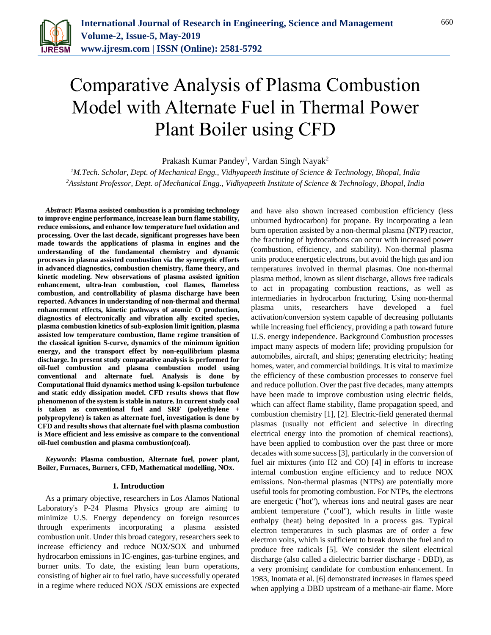

# Comparative Analysis of Plasma Combustion Model with Alternate Fuel in Thermal Power Plant Boiler using CFD

Prakash Kumar Pandey<sup>1</sup>, Vardan Singh Nayak<sup>2</sup>

*<sup>1</sup>M.Tech. Scholar, Dept. of Mechanical Engg., Vidhyapeeth Institute of Science & Technology, Bhopal, India 2Assistant Professor, Dept. of Mechanical Engg., Vidhyapeeth Institute of Science & Technology, Bhopal, India*

*Abstract***: Plasma assisted combustion is a promising technology to improve engine performance, increase lean burn flame stability, reduce emissions, and enhance low temperature fuel oxidation and processing. Over the last decade, significant progresses have been made towards the applications of plasma in engines and the understanding of the fundamental chemistry and dynamic processes in plasma assisted combustion via the synergetic efforts in advanced diagnostics, combustion chemistry, flame theory, and kinetic modeling. New observations of plasma assisted ignition enhancement, ultra-lean combustion, cool flames, flameless combustion, and controllability of plasma discharge have been reported. Advances in understanding of non-thermal and thermal enhancement effects, kinetic pathways of atomic O production, diagnostics of electronically and vibration ally excited species, plasma combustion kinetics of sub-explosion limit ignition, plasma assisted low temperature combustion, flame regime transition of the classical ignition S-curve, dynamics of the minimum ignition energy, and the transport effect by non-equilibrium plasma discharge. In present study comparative analysis is performed for oil-fuel combustion and plasma combustion model using conventional and alternate fuel. Analysis is done by Computational fluid dynamics method using k-epsilon turbulence and static eddy dissipation model. CFD results shows that flow phenomenon of the system is stable in nature. In current study coal is taken as conventional fuel and SRF (polyethylene + polypropylene) is taken as alternate fuel, investigation is done by CFD and results shows that alternate fuel with plasma combustion is More efficient and less emissive as compare to the conventional oil-fuel combustion and plasma combustion(coal).**

*Keywords***: Plasma combustion, Alternate fuel, power plant, Boiler, Furnaces, Burners, CFD, Mathematical modelling, NOx.**

#### **1. Introduction**

As a primary objective, researchers in Los Alamos National Laboratory's P-24 Plasma Physics group are aiming to minimize U.S. Energy dependency on foreign resources through experiments incorporating a plasma assisted combustion unit. Under this broad category, researchers seek to increase efficiency and reduce NOX/SOX and unburned hydrocarbon emissions in IC-engines, gas-turbine engines, and burner units. To date, the existing lean burn operations, consisting of higher air to fuel ratio, have successfully operated in a regime where reduced NOX /SOX emissions are expected

and have also shown increased combustion efficiency (less unburned hydrocarbon) for propane. By incorporating a lean burn operation assisted by a non-thermal plasma (NTP) reactor, the fracturing of hydrocarbons can occur with increased power (combustion, efficiency, and stability). Non-thermal plasma units produce energetic electrons, but avoid the high gas and ion temperatures involved in thermal plasmas. One non-thermal plasma method, known as silent discharge, allows free radicals to act in propagating combustion reactions, as well as intermediaries in hydrocarbon fracturing. Using non-thermal plasma units, researchers have developed a fuel activation/conversion system capable of decreasing pollutants while increasing fuel efficiency, providing a path toward future U.S. energy independence. Background Combustion processes impact many aspects of modern life; providing propulsion for automobiles, aircraft, and ships; generating electricity; heating homes, water, and commercial buildings. It is vital to maximize the efficiency of these combustion processes to conserve fuel and reduce pollution. Over the past five decades, many attempts have been made to improve combustion using electric fields, which can affect flame stability, flame propagation speed, and combustion chemistry [1], [2]. Electric-field generated thermal plasmas (usually not efficient and selective in directing electrical energy into the promotion of chemical reactions), have been applied to combustion over the past three or more decades with some success [3], particularly in the conversion of fuel air mixtures (into H2 and CO) [4] in efforts to increase internal combustion engine efficiency and to reduce NOX emissions. Non-thermal plasmas (NTPs) are potentially more useful tools for promoting combustion. For NTPs, the electrons are energetic ("hot"), whereas ions and neutral gases are near ambient temperature ("cool"), which results in little waste enthalpy (heat) being deposited in a process gas. Typical electron temperatures in such plasmas are of order a few electron volts, which is sufficient to break down the fuel and to produce free radicals [5]. We consider the silent electrical discharge (also called a dielectric barrier discharge - DBD), as a very promising candidate for combustion enhancement. In 1983, Inomata et al. [6] demonstrated increases in flames speed when applying a DBD upstream of a methane-air flame. More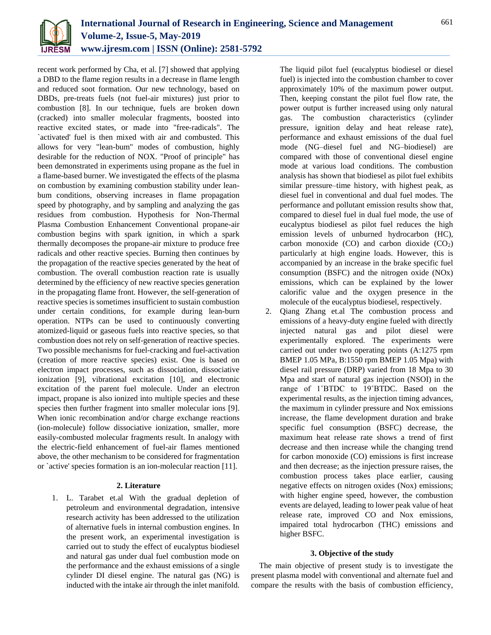

recent work performed by Cha, et al. [7] showed that applying a DBD to the flame region results in a decrease in flame length and reduced soot formation. Our new technology, based on DBDs, pre-treats fuels (not fuel-air mixtures) just prior to combustion [8]. In our technique, fuels are broken down (cracked) into smaller molecular fragments, boosted into reactive excited states, or made into "free-radicals". The `activated' fuel is then mixed with air and combusted. This allows for very "lean-bum" modes of combustion, highly desirable for the reduction of NOX. "Proof of principle" has been demonstrated in experiments using propane as the fuel in a flame-based burner. We investigated the effects of the plasma on combustion by examining combustion stability under leanbum conditions, observing increases in flame propagation speed by photography, and by sampling and analyzing the gas residues from combustion. Hypothesis for Non-Thermal Plasma Combustion Enhancement Conventional propane-air combustion begins with spark ignition, in which a spark thermally decomposes the propane-air mixture to produce free radicals and other reactive species. Burning then continues by the propagation of the reactive species generated by the heat of combustion. The overall combustion reaction rate is usually determined by the efficiency of new reactive species generation in the propagating flame front. However, the self-generation of reactive species is sometimes insufficient to sustain combustion under certain conditions, for example during lean-burn operation. NTPs can be used to continuously converting atomized-liquid or gaseous fuels into reactive species, so that combustion does not rely on self-generation of reactive species. Two possible mechanisms for fuel-cracking and fuel-activation (creation of more reactive species) exist. One is based on electron impact processes, such as dissociation, dissociative ionization [9], vibrational excitation [10], and electronic excitation of the parent fuel molecule. Under an electron impact, propane is also ionized into multiple species and these species then further fragment into smaller molecular ions [9]. When ionic recombination and/or charge exchange reactions (ion-molecule) follow dissociative ionization, smaller, more easily-combusted molecular fragments result. In analogy with the electric-field enhancement of fuel-air flames mentioned above, the other mechanism to be considered for fragmentation or `active' species formation is an ion-molecular reaction [11].

#### **2. Literature**

1. L. Tarabet et.al With the gradual depletion of petroleum and environmental degradation, intensive research activity has been addressed to the utilization of alternative fuels in internal combustion engines. In the present work, an experimental investigation is carried out to study the effect of eucalyptus biodiesel and natural gas under dual fuel combustion mode on the performance and the exhaust emissions of a single cylinder DI diesel engine. The natural gas (NG) is inducted with the intake air through the inlet manifold. The liquid pilot fuel (eucalyptus biodiesel or diesel fuel) is injected into the combustion chamber to cover approximately 10% of the maximum power output. Then, keeping constant the pilot fuel flow rate, the power output is further increased using only natural gas. The combustion characteristics (cylinder pressure, ignition delay and heat release rate), performance and exhaust emissions of the dual fuel mode (NG–diesel fuel and NG–biodiesel) are compared with those of conventional diesel engine mode at various load conditions. The combustion analysis has shown that biodiesel as pilot fuel exhibits similar pressure–time history, with highest peak, as diesel fuel in conventional and dual fuel modes. The performance and pollutant emission results show that, compared to diesel fuel in dual fuel mode, the use of eucalyptus biodiesel as pilot fuel reduces the high emission levels of unburned hydrocarbon (HC), carbon monoxide  $(CO)$  and carbon dioxide  $(CO<sub>2</sub>)$ particularly at high engine loads. However, this is accompanied by an increase in the brake specific fuel consumption (BSFC) and the nitrogen oxide (NOx) emissions, which can be explained by the lower calorific value and the oxygen presence in the molecule of the eucalyptus biodiesel, respectively.

2. Qiang Zhang et.al The combustion process and emissions of a heavy-duty engine fueled with directly injected natural gas and pilot diesel were experimentally explored. The experiments were carried out under two operating points (A:1275 rpm BMEP 1.05 MPa, B:1550 rpm BMEP 1.05 Mpa) with diesel rail pressure (DRP) varied from 18 Mpa to 30 Mpa and start of natural gas injection (NSOI) in the range of 1˚BTDC to 19˚BTDC. Based on the experimental results, as the injection timing advances, the maximum in cylinder pressure and Nox emissions increase, the flame development duration and brake specific fuel consumption (BSFC) decrease, the maximum heat release rate shows a trend of first decrease and then increase while the changing trend for carbon monoxide (CO) emissions is first increase and then decrease; as the injection pressure raises, the combustion process takes place earlier, causing negative effects on nitrogen oxides (Nox) emissions; with higher engine speed, however, the combustion events are delayed, leading to lower peak value of heat release rate, improved CO and Nox emissions, impaired total hydrocarbon (THC) emissions and higher BSFC.

#### **3. Objective of the study**

The main objective of present study is to investigate the present plasma model with conventional and alternate fuel and compare the results with the basis of combustion efficiency,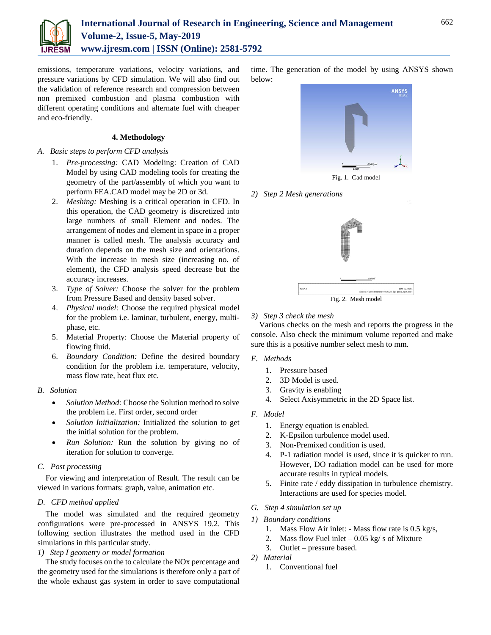

emissions, temperature variations, velocity variations, and pressure variations by CFD simulation. We will also find out the validation of reference research and compression between non premixed combustion and plasma combustion with different operating conditions and alternate fuel with cheaper and eco-friendly.

## **4. Methodology**

# *A. Basic steps to perform CFD analysis*

- 1. *Pre-processing:* CAD Modeling: Creation of CAD Model by using CAD modeling tools for creating the geometry of the part/assembly of which you want to perform FEA.CAD model may be 2D or 3d.
- 2. *Meshing:* Meshing is a critical operation in CFD. In this operation, the CAD geometry is discretized into large numbers of small Element and nodes. The arrangement of nodes and element in space in a proper manner is called mesh. The analysis accuracy and duration depends on the mesh size and orientations. With the increase in mesh size (increasing no. of element), the CFD analysis speed decrease but the accuracy increases.
- 3. *Type of Solver:* Choose the solver for the problem from Pressure Based and density based solver.
- 4. *Physical model:* Choose the required physical model for the problem i.e. laminar, turbulent, energy, multiphase, etc.
- 5. Material Property: Choose the Material property of flowing fluid.
- 6. *Boundary Condition:* Define the desired boundary condition for the problem i.e. temperature, velocity, mass flow rate, heat flux etc.

# *B. Solution*

- *Solution Method:* Choose the Solution method to solve the problem i.e. First order, second order
- *Solution Initialization:* Initialized the solution to get the initial solution for the problem.
- *Run Solution:* Run the solution by giving no of iteration for solution to converge.

# *C. Post processing*

For viewing and interpretation of Result. The result can be viewed in various formats: graph, value, animation etc.

# *D. CFD method applied*

The model was simulated and the required geometry configurations were pre-processed in ANSYS 19.2. This following section illustrates the method used in the CFD simulations in this particular study.

# *1) Step I geometry or model formation*

The study focuses on the to calculate the NOx percentage and the geometry used for the simulations is therefore only a part of the whole exhaust gas system in order to save computational

time. The generation of the model by using ANSYS shown below:



Fig. 1. Cad model

### *2) Step 2 Mesh generations*



Fig. 2. Mesh model

### *3) Step 3 check the mesh*

Various checks on the mesh and reports the progress in the console. Also check the minimum volume reported and make sure this is a positive number select mesh to mm.

- *E. Methods*
	- 1. Pressure based
	- 2. 3D Model is used.
	- 3. Gravity is enabling
	- 4. Select Axisymmetric in the 2D Space list.
- *F. Model*
	- 1. Energy equation is enabled.
	- 2. K-Epsilon turbulence model used.
	- 3. Non-Premixed condition is used.
	- 4. P-1 radiation model is used, since it is quicker to run. However, DO radiation model can be used for more accurate results in typical models.
	- 5. Finite rate / eddy dissipation in turbulence chemistry. Interactions are used for species model.
- *G. Step 4 simulation set up*
- *1) Boundary conditions*
	- 1. Mass Flow Air inlet: Mass flow rate is 0.5 kg/s,
	- 2. Mass flow Fuel inlet  $-0.05$  kg/s of Mixture
	- 3. Outlet pressure based.
- *2) Material*
	- 1. Conventional fuel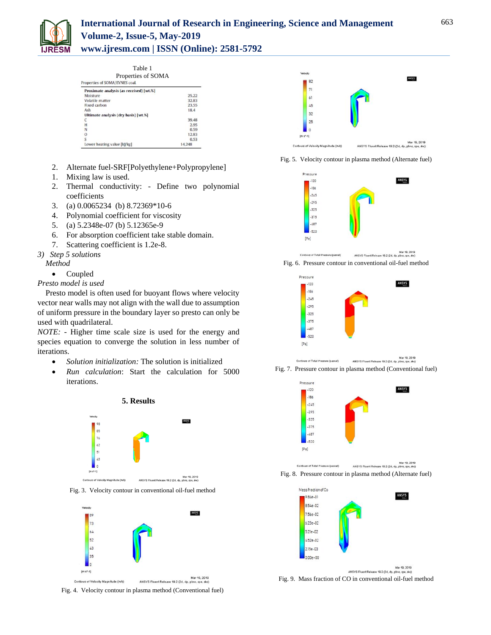

| Table 1 |
|---------|
|         |

| Properties of SOMA<br>Properties of SOMA/EYNES coal. |        |  |  |
|------------------------------------------------------|--------|--|--|
| Proximate analysis (as received) [wt.%]              |        |  |  |
| Moisture                                             | 25.22  |  |  |
| Volatile matter                                      | 32.83  |  |  |
| Fixed carbon                                         | 23.55  |  |  |
| Ash                                                  | 18.4   |  |  |
| Ultimate analysis (dry basis) [wt.%]                 |        |  |  |
| C                                                    | 39.48  |  |  |
| H                                                    | 2.95   |  |  |
| N                                                    | 0.59   |  |  |
| $\Omega$                                             | 12.83  |  |  |
| S                                                    | 0.53   |  |  |
| Lower heating value [k]/kg]                          | 14,248 |  |  |

- 2. Alternate fuel-SRF[Polyethylene+Polypropylene]
- 1. Mixing law is used.
- 2. Thermal conductivity: Define two polynomial coefficients
- 3. (a) 0.0065234 (b) 8.72369\*10-6
- 4. Polynomial coefficient for viscosity
- 5. (a) 5.2348e-07 (b) 5.12365e-9
- 6. For absorption coefficient take stable domain.
- 7. Scattering coefficient is 1.2e-8.
- *3) Step 5 solutions*
	- *Method*
		- Coupled

*Presto model is used*

Presto model is often used for buoyant flows where velocity vector near walls may not align with the wall due to assumption of uniform pressure in the boundary layer so presto can only be used with quadrilateral.

*NOTE: -* Higher time scale size is used for the energy and species equation to converge the solution in less number of iterations.

- *Solution initialization:* The solution is initialized
- *Run calculation*: Start the calculation for 5000 iterations.



Fig. 3. Velocity contour in conventional oil-fuel method







Fig. 5. Velocity contour in plasma method (Alternate fuel)















ANSYS Fluent Release 19.2 (2d, dp, pbns, spe, ske Fig. 9. Mass fraction of CO in conventional oil-fuel method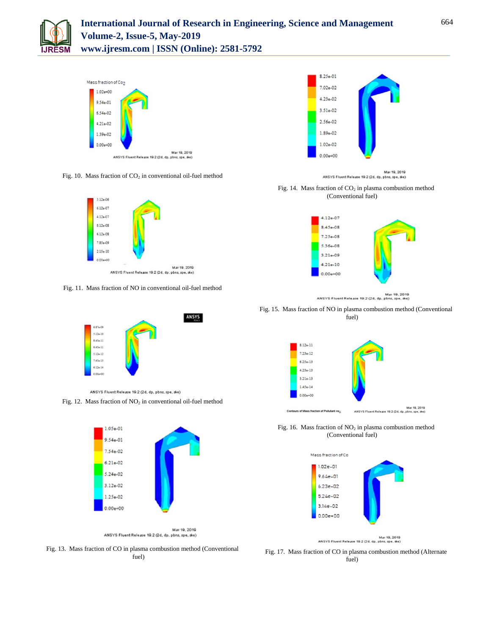



Fig. 10. Mass fraction of  $CO<sub>2</sub>$  in conventional oil-fuel method



Fig. 11. Mass fraction of NO in conventional oil-fuel method



ANSYS Fluent Release 19.2 (2d, dp, pbns, spe, ske) Fig. 12. Mass fraction of  $NO<sub>2</sub>$  in conventional oil-fuel method





Fig. 14. Mass fraction of  $CO<sub>2</sub>$  in plasma combustion method (Conventional fuel)



Mar 19, 2019<br>ANSYS Fluent Release 19.2 (2d, dp, pbns, spe, ske)

Fig. 15. Mass fraction of NO in plasma combustion method (Conventional fuel)



Fig. 16. Mass fraction of  $NO<sub>2</sub>$  in plasma combustion method (Conventional fuel)



Mar 19, 2019<br>ANSYS Fluent Release 19.2 (2d, dp, pbns, spe, ske)

Fig. 13. Mass fraction of CO in plasma combustion method (Conventional fuel)

Fig. 17. Mass fraction of CO in plasma combustion method (Alternate fuel)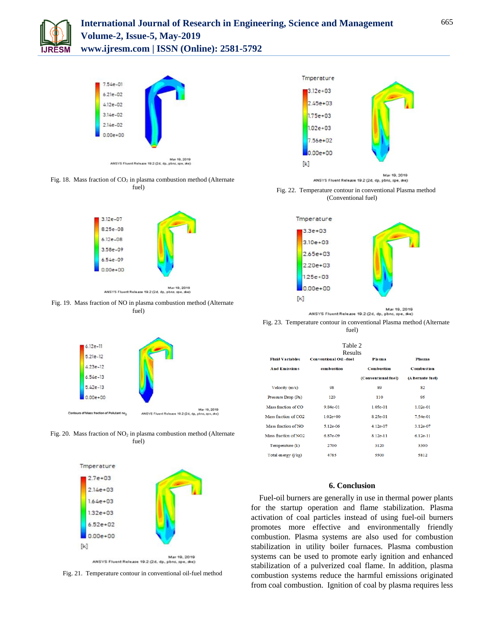



Fig. 18. Mass fraction of  $CO<sub>2</sub>$  in plasma combustion method (Alternate fuel)



Fig. 19. Mass fraction of NO in plasma combustion method (Alternate fuel)



Fig. 20. Mass fraction of  $NO<sub>2</sub>$  in plasma combustion method (Alternate fuel)



Fig. 21. Temperature contour in conventional oil-fuel method



ANSYS Fluent Release 10.2 (2d, dp, pbns, spe, ske)

Fig. 22. Temperature contour in conventional Plasma method (Conventional fuel)



ANSYS Fluent Release 19.2 (2d, dp, pbns, spe, ske)

Fig. 23. Temperature contour in conventional Plasma method (Alternate fuel)

| Table 2<br>Results               |                              |                     |                   |  |  |
|----------------------------------|------------------------------|---------------------|-------------------|--|--|
| <b>Fluid Variables</b>           | <b>Conventional Oil-fuel</b> | Plasma              | <b>Plasma</b>     |  |  |
| <b>And Emissions</b>             | combustion                   | <b>Combustion</b>   | <b>Combustion</b> |  |  |
|                                  |                              | (Conventional fuel) | (Alternate fuel)  |  |  |
| Velocity $(m/s)$                 | 98                           | 89                  | 82                |  |  |
| Pressure Drop (Pa)               | 120                          | 110                 | 95                |  |  |
| Mass fraction of CO              | 9.84e-01                     | 1.05e-01            | $1.02e-01$        |  |  |
| Mass fraction of CO <sub>2</sub> | $1.02e + 00$                 | 8.25e-01            | 7.54e-01          |  |  |
| Mass fraction of NO              | 5.12e-06                     | 4.12e-07            | 3.12e-07          |  |  |
| Mass fraction of NO <sub>2</sub> | 6.87e-09                     | 8.12e-11            | $6.12e-11$        |  |  |
| Temperature (k)                  | 2700                         | 3120                | 3300              |  |  |
| Total energy (i/kg)              | 4785                         | 5500                | 5812              |  |  |

#### **6. Conclusion**

Fuel-oil burners are generally in use in thermal power plants for the startup operation and flame stabilization. Plasma activation of coal particles instead of using fuel-oil burners promotes more effective and environmentally friendly combustion. Plasma systems are also used for combustion stabilization in utility boiler furnaces. Plasma combustion systems can be used to promote early ignition and enhanced stabilization of a pulverized coal flame. In addition, plasma combustion systems reduce the harmful emissions originated from coal combustion. Ignition of coal by plasma requires less